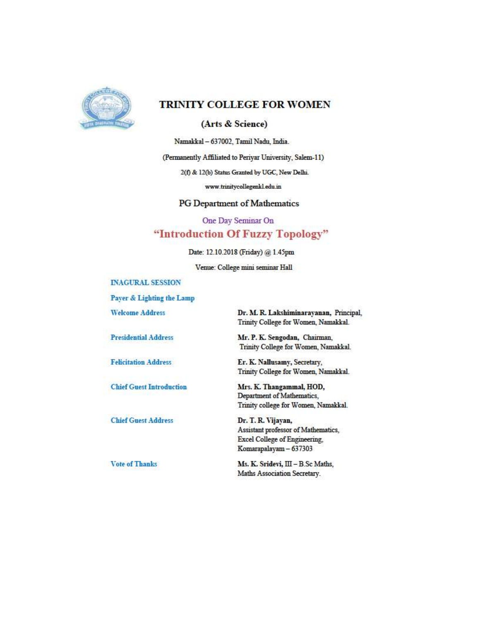

# **TRINITY COLLEGE FOR WOMEN**

### (Arts & Science)

Namakkal - 637002, Tamil Nadu, India.

(Permanently Affiliated to Periyar University, Salem-11)

2(f) & 12(b) Status Granted by UGC, New Delhi.

www.trinitycollegenkl.edu.in

**PG Department of Mathematics** 

# One Day Seminar On "Introduction Of Fuzzy Topology"

Date: 12.10.2018 (Friday) @ 1.45pm

Venue: College mini seminar Hall

**INAGURAL SESSION** 

Payer & Lighting the Lamp

**Welcome Address** 

**Presidential Address** 

**Felicitation Address** 

**Chief Guest Introduction** 

**Chief Guest Address** 

**Vote of Thanks** 

Dr. M. R. Lakshiminarayanan, Principal, Trinity College for Women, Namakkal.

Mr. P. K. Sengodan, Chairman, Trinity College for Women, Namakkal.

Er. K. Nallusamy, Secretary, Trinity College for Women, Namakkal.

Mrs. K. Thangammal, HOD, Department of Mathematics, Trinity college for Women, Namakkal.

Dr. T. R. Vijayan, Assistant professor of Mathematics, **Excel College of Engineering,** Komarapalayam - 637303

Ms. K. Sridevi, III - B. Sc Maths, Maths Association Secretary.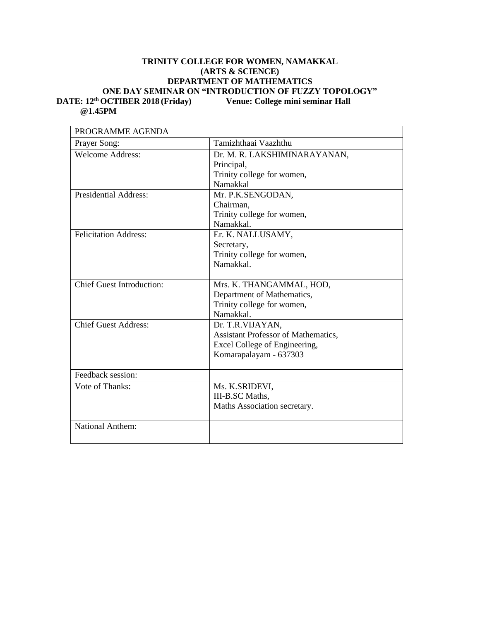### **TRINITY COLLEGE FOR WOMEN, NAMAKKAL (ARTS & SCIENCE) DEPARTMENT OF MATHEMATICS ONE DAY SEMINAR ON "INTRODUCTION OF FUZZY TOPOLOGY" DATE: 12th OCTIBER 2018 (Friday) Venue: College mini seminar Hall @1.45PM**

| PROGRAMME AGENDA                 |                                     |  |  |
|----------------------------------|-------------------------------------|--|--|
| Prayer Song:                     | Tamizhthaai Vaazhthu                |  |  |
| <b>Welcome Address:</b>          | Dr. M. R. LAKSHIMINARAYANAN,        |  |  |
|                                  | Principal,                          |  |  |
|                                  | Trinity college for women,          |  |  |
|                                  | Namakkal                            |  |  |
| <b>Presidential Address:</b>     | Mr. P.K.SENGODAN,                   |  |  |
|                                  | Chairman,                           |  |  |
|                                  | Trinity college for women,          |  |  |
|                                  | Namakkal.                           |  |  |
| <b>Felicitation Address:</b>     | Er. K. NALLUSAMY,                   |  |  |
|                                  | Secretary,                          |  |  |
|                                  | Trinity college for women,          |  |  |
|                                  | Namakkal.                           |  |  |
| <b>Chief Guest Introduction:</b> | Mrs. K. THANGAMMAL, HOD,            |  |  |
|                                  | Department of Mathematics,          |  |  |
|                                  | Trinity college for women,          |  |  |
|                                  | Namakkal.                           |  |  |
| <b>Chief Guest Address:</b>      | Dr. T.R.VIJAYAN,                    |  |  |
|                                  | Assistant Professor of Mathematics, |  |  |
|                                  | Excel College of Engineering,       |  |  |
|                                  | Komarapalayam - 637303              |  |  |
|                                  |                                     |  |  |
| Feedback session:                |                                     |  |  |
| Vote of Thanks:                  | Ms. K.SRIDEVI,                      |  |  |
|                                  | III-B.SC Maths,                     |  |  |
|                                  | Maths Association secretary.        |  |  |
|                                  |                                     |  |  |
| <b>National Anthem:</b>          |                                     |  |  |
|                                  |                                     |  |  |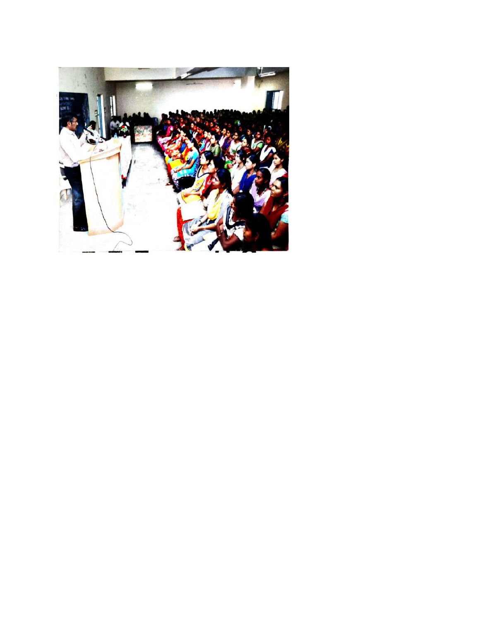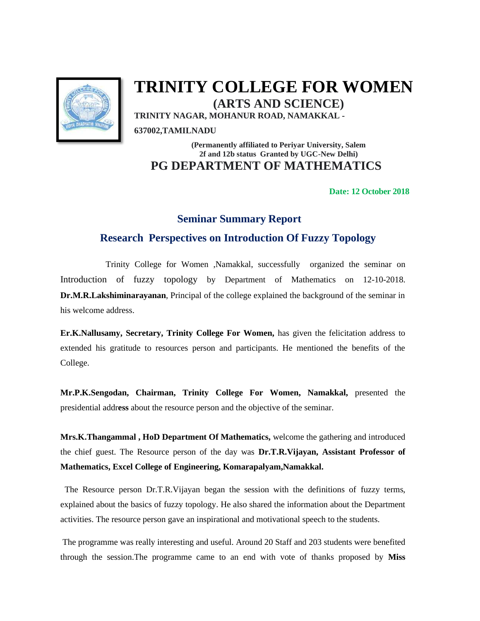

# **TRINITY COLLEGE FOR WOMEN (ARTS AND SCIENCE) TRINITY NAGAR, MOHANUR ROAD, NAMAKKAL -**

**637002,TAMILNADU**

### **(Permanently affiliated to Periyar University, Salem 2f and 12b status Granted by UGC-New Delhi) PG DEPARTMENT OF MATHEMATICS**

**Date: 12 October 2018**

## **Seminar Summary Report**

## **Research Perspectives on Introduction Of Fuzzy Topology**

Trinity College for Women ,Namakkal, successfully organized the seminar on Introduction of fuzzy topology by Department of Mathematics on 12-10-2018. **Dr.M.R.Lakshiminarayanan**, Principal of the college explained the background of the seminar in his welcome address.

**Er.K.Nallusamy, Secretary, Trinity College For Women,** has given the felicitation address to extended his gratitude to resources person and participants. He mentioned the benefits of the College.

**Mr.P.K.Sengodan, Chairman, Trinity College For Women, Namakkal,** presented the presidential addr**ess** about the resource person and the objective of the seminar.

**Mrs.K.Thangammal , HoD Department Of Mathematics,** welcome the gathering and introduced the chief guest. The Resource person of the day was **Dr.T.R.Vijayan, Assistant Professor of Mathematics, Excel College of Engineering, Komarapalyam,Namakkal.**

The Resource person Dr.T.R.Vijayan began the session with the definitions of fuzzy terms, explained about the basics of fuzzy topology. He also shared the information about the Department activities. The resource person gave an inspirational and motivational speech to the students.

The programme was really interesting and useful. Around 20 Staff and 203 students were benefited through the session.The programme came to an end with vote of thanks proposed by **Miss**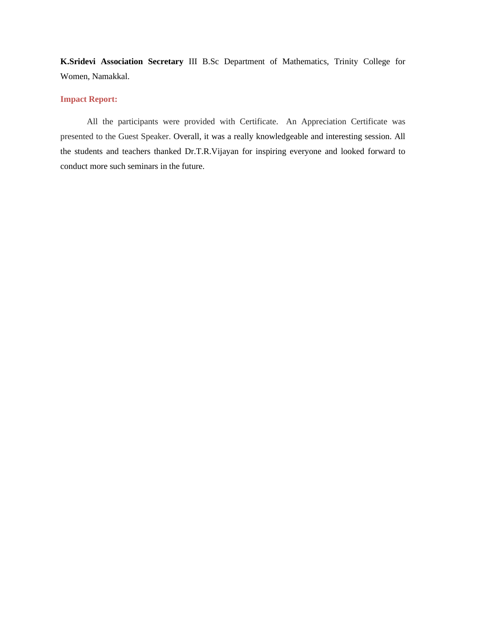**K.Sridevi Association Secretary** III B.Sc Department of Mathematics, Trinity College for Women, Namakkal.

### **Impact Report:**

All the participants were provided with Certificate. An Appreciation Certificate was presented to the Guest Speaker. Overall, it was a really knowledgeable and interesting session. All the students and teachers thanked Dr.T.R.Vijayan for inspiring everyone and looked forward to conduct more such seminars in the future.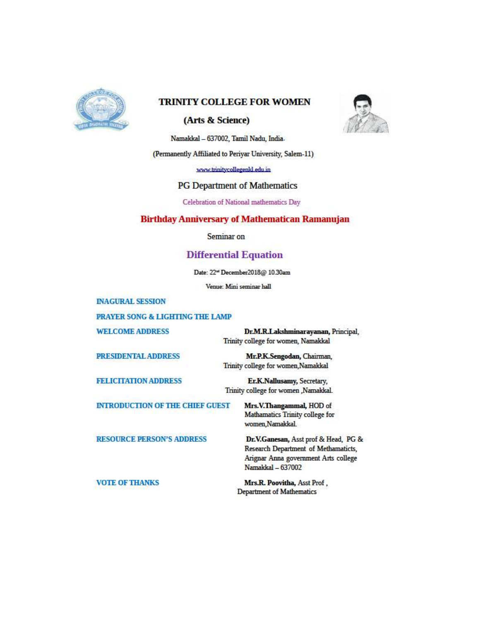

### **TRINITY COLLEGE FOR WOMEN**

### (Arts & Science)



Namakkal - 637002, Tamil Nadu, India.

(Permanently Affiliated to Periyar University, Salem-11)

www.trinitycollegenkl.edu.in

### **PG Department of Mathematics**

Celebration of National mathematics Day

### **Birthday Anniversary of Mathematican Ramanujan**

Seminar on

### **Differential Equation**

Date: 22<sup>ad</sup> December2018@ 10.30am

Venue: Mini seminar hall

**INAGURAL SESSION** 

PRAYER SONG & LIGHTING THE LAMP

**WELCOME ADDRESS** 

Dr.M.R.Lakshminarayanan, Principal, Trinity college for women, Namakkal

**PRESIDENTAL ADDRESS** 

**FELICITATION ADDRESS** 

Mr.P.K.Sengodan, Chairman, Trinity college for women, Namakkal

Er.K.Nallusamy, Secretary, Trinity college for women ,Namakkal.

Mrs.V.Thangammal, HOD of Mathamatics Trinity college for women, Namakkal.

**RESOURCE PERSON'S ADDRESS** 

**INTRODUCTION OF THE CHIEF GUEST** 

**VOTE OF THANKS** 

Arignar Anna government Arts college Namakkal - 637002 Mrs.R. Poovitha, Asst Prof,

Dr.V.Ganesan, Asst prof & Head, PG & Research Department of Methamaticts,

**Department of Mathematics**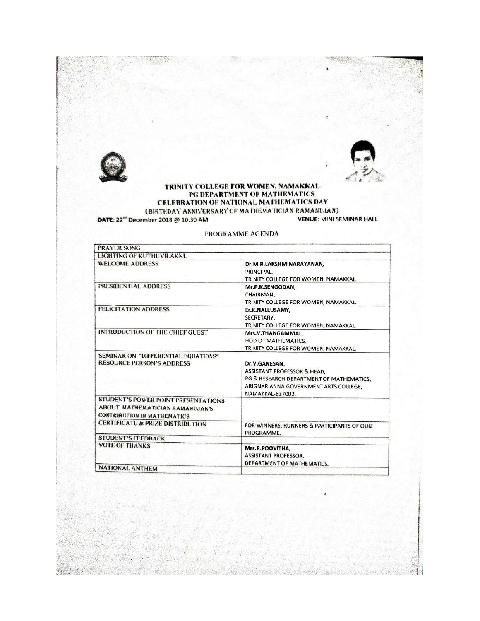

# **TRINITY COLLEGE FOR WOMEN, NAMAKKAL<br>PG DEPARTMENT OF MATHEMATICS CELEBRATION OF NATIONAL MATHEMATICS DAY** (BIRTHDAY ANNIVERSARY OF MATHEMATICIAN RAMANUJAN)

DATE: 22<sup>nd</sup> December 2018 @ 10.30 AM

**VENUE: MINI SEMINAR HALL** 

| <b>PRAYER SONG</b>                                                                                                  |                                                                                                                                                       |
|---------------------------------------------------------------------------------------------------------------------|-------------------------------------------------------------------------------------------------------------------------------------------------------|
| <b>LIGHTING OF KUTHUVILAKKU</b>                                                                                     |                                                                                                                                                       |
| <b>WELCOME ADDRESS</b>                                                                                              | Dr.M.R.LAKSHMINARAYANAN,<br>PRINCIPAL.<br>TRINITY COLLEGE FOR WOMEN, NAMAKKAL.                                                                        |
| <b>PRESIDENTIAL ADDRESS</b>                                                                                         | Mr.P.K.SENGODAN,<br>CHAIRMAN.<br>TRINITY COLLEGE FOR WOMEN, NAMAKKAL.                                                                                 |
| <b>FELICITATION ADDRESS</b>                                                                                         | Er.K.NALLUSAMY,<br>SECRETARY,<br>TRINITY COLLEGE FOR WOMEN, NAMAKKAL.                                                                                 |
| <b>INTRODUCTION OF THE CHIEF GUEST</b>                                                                              | Mrs.V.THANGAMMAL.<br>HOD OF MATHEMATICS.<br>TRINITY COLLEGE FOR WOMEN, NAMAKKAL.                                                                      |
| SEMINAR ON "DIFFERENTIAL EQUATIONS"<br><b>RESOURCE PERSON'S ADDRESS</b>                                             | Dr.V.GANESAN,<br>ASSISTANT PROFESSOR & HEAD,<br>PG & RESEARCH DEPARTMENT OF MATHEMATICS,<br>ARIGNAR ANNA GOVERNMENT ARTS COLLEGE.<br>NAMAKKAL-637002. |
| <b>STUDENT'S POWER POINT PRESENTATIONS</b><br>ABOUT MATHEMATICIAN RAMANUJAN'S<br><b>CONTRIBUTION IN MATHEMATICS</b> |                                                                                                                                                       |
| <b>CERTIFICATE &amp; PRIZE DISTRIBUTION</b>                                                                         | FOR WINNERS, RUNNERS & PARTICIPANTS OF QUIZ<br>PROGRAMME.                                                                                             |
| <b>STUDENT'S FEEDBACK</b>                                                                                           |                                                                                                                                                       |
| <b>VOTE OF THANKS</b>                                                                                               | Mrs.R.POOVITHA.<br><b>ASSISTANT PROFESSOR.</b><br>DEPARTMENT OF MATHEMATICS.                                                                          |
| NATIONAL ANTHEM                                                                                                     |                                                                                                                                                       |

PROGRAMME AGENDA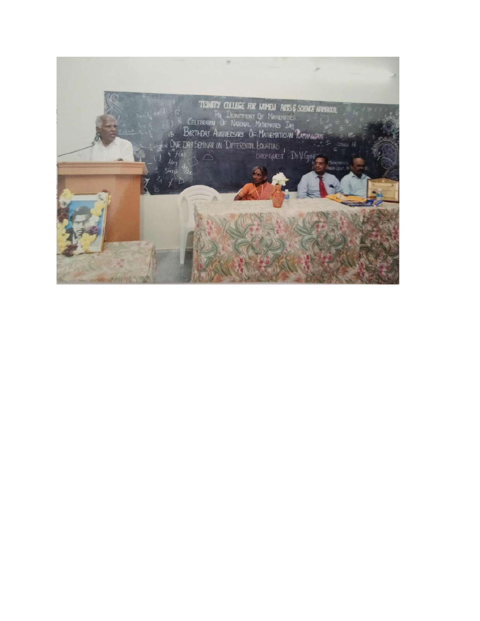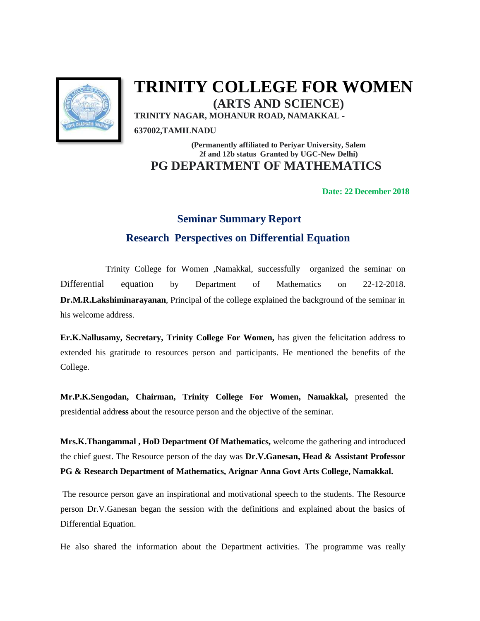

# **TRINITY COLLEGE FOR WOMEN (ARTS AND SCIENCE) TRINITY NAGAR, MOHANUR ROAD, NAMAKKAL -**

**637002,TAMILNADU**

## **(Permanently affiliated to Periyar University, Salem 2f and 12b status Granted by UGC-New Delhi) PG DEPARTMENT OF MATHEMATICS**

**Date: 22 December 2018**

# **Seminar Summary Report**

## **Research Perspectives on Differential Equation**

Trinity College for Women ,Namakkal, successfully organized the seminar on Differential equation by Department of Mathematics on 22-12-2018. **Dr.M.R.Lakshiminarayanan**, Principal of the college explained the background of the seminar in his welcome address.

**Er.K.Nallusamy, Secretary, Trinity College For Women,** has given the felicitation address to extended his gratitude to resources person and participants. He mentioned the benefits of the College.

**Mr.P.K.Sengodan, Chairman, Trinity College For Women, Namakkal,** presented the presidential addr**ess** about the resource person and the objective of the seminar.

**Mrs.K.Thangammal , HoD Department Of Mathematics,** welcome the gathering and introduced the chief guest. The Resource person of the day was **Dr.V.Ganesan, Head & Assistant Professor PG & Research Department of Mathematics, Arignar Anna Govt Arts College, Namakkal.**

The resource person gave an inspirational and motivational speech to the students. The Resource person Dr.V.Ganesan began the session with the definitions and explained about the basics of Differential Equation.

He also shared the information about the Department activities. The programme was really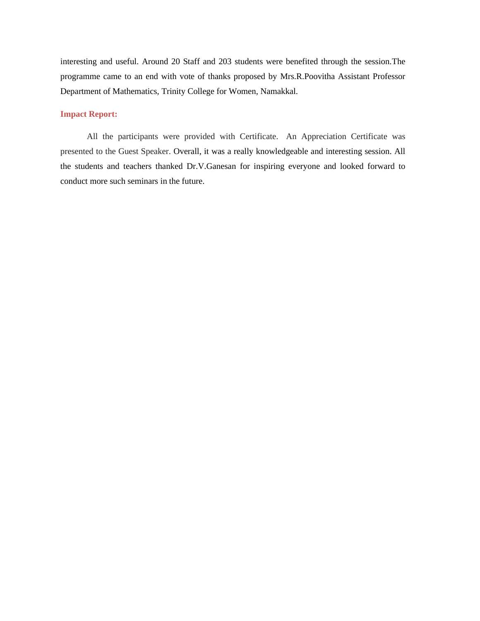interesting and useful. Around 20 Staff and 203 students were benefited through the session.The programme came to an end with vote of thanks proposed by Mrs.R.Poovitha Assistant Professor Department of Mathematics, Trinity College for Women, Namakkal.

### **Impact Report:**

All the participants were provided with Certificate. An Appreciation Certificate was presented to the Guest Speaker. Overall, it was a really knowledgeable and interesting session. All the students and teachers thanked Dr.V.Ganesan for inspiring everyone and looked forward to conduct more such seminars in the future.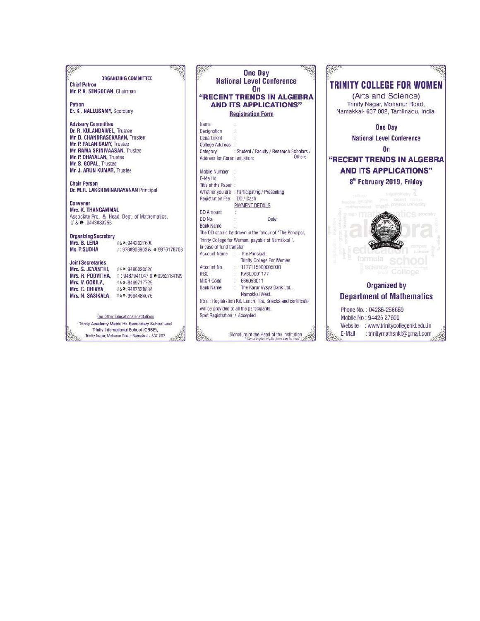|                                                                               | <b>ORGANIZING COMMITTEE</b>                      |
|-------------------------------------------------------------------------------|--------------------------------------------------|
| <b>Chief Patron</b>                                                           |                                                  |
| Mr. P. K. SENGODAN, Chairman                                                  |                                                  |
| Patron                                                                        |                                                  |
| Er. K. NALLUSAMY, Secretary                                                   |                                                  |
| <b>Advisory Committee</b>                                                     |                                                  |
| Dr. R. KULANDAIVEL, Trustee                                                   |                                                  |
| Mr. D. CHANDRASEKARAN, Trustee                                                |                                                  |
| <b>Mr. P. PALANISAMY, Trustee</b>                                             |                                                  |
| Mr. RAMA SRINIVAASAN, Trustee                                                 |                                                  |
| Mr. P. DHAYALAN, Trustee                                                      |                                                  |
| Mr. S. GOPAL, Trustee                                                         |                                                  |
| Mr. J. ARUN KUMAR, Trustee                                                    |                                                  |
| <b>Chair Person</b>                                                           |                                                  |
|                                                                               | Dr. M.R. LAKSHIMINARAYANAN Principal             |
| Convener                                                                      |                                                  |
| Mrs. K. THANGAMMAL                                                            |                                                  |
|                                                                               | Associate Pro. & Head, Dept. of Mathematics.     |
| ■ & ●: 9443089256                                                             |                                                  |
| <b>Organizing Secretary</b>                                                   |                                                  |
| Mrs. B. LENA                                                                  | ₫&● 9442627600                                   |
| <b>Ms. P. SUDHA</b>                                                           | $\approx$ : 9788908903& $\approx$ 9976178703     |
| <b>Joint Secretaries</b>                                                      |                                                  |
| Mrs. S. JEYANTHI, #&®: 9486033526                                             |                                                  |
|                                                                               | Mrs. R. POOVITHA, #: 9487941047 & · 9952784199   |
| Mrs. V. GOKILA, #80:8489717729                                                |                                                  |
|                                                                               |                                                  |
| <b>Mrs. C. DHIVYA, #&amp;@:9487530834</b><br>Mrs. N. SASIKALA, #&@:9994484076 |                                                  |
|                                                                               | Our Other Educational Institutions               |
|                                                                               | Trinity Academy Matric Hr. Secondary School and  |
|                                                                               | Trinity International School (CBSE),             |
|                                                                               | Trinity Nagar, Mohanur Road, Namakkal - 637 002. |

|                               | <b>One Day</b><br><b>National Level Conference</b><br>On                              |
|-------------------------------|---------------------------------------------------------------------------------------|
|                               | <b>"RECENT TRENDS IN ALGEBRA</b>                                                      |
|                               | <b>AND ITS APPLICATIONS"</b>                                                          |
|                               | <b>Registration Form</b>                                                              |
| Name                          |                                                                                       |
| Designation                   |                                                                                       |
| Department                    |                                                                                       |
| <b>College Address</b>        |                                                                                       |
| Category                      | : Student / Faculty / Research Scholars /                                             |
| Address for Communication:    | Others                                                                                |
| Mobile Number                 |                                                                                       |
| E-Mail Id                     |                                                                                       |
| Title of the Paper:           |                                                                                       |
|                               | Whether you are : Participating / Presenting                                          |
| Registration Fee : DD / Cash  |                                                                                       |
|                               | PAYMENT DETAILS                                                                       |
| <b>DD Amount</b>              |                                                                                       |
| DD No.                        | Date:                                                                                 |
| <b>Bank Name</b>              |                                                                                       |
|                               | The DD should be drawn in the favour of "The Principal.                               |
|                               | Trinity College for Women, payable at Namakkal ".                                     |
| In case of fund transfer      |                                                                                       |
| Account Name                  | The Principal,                                                                        |
|                               | Trinity College For Women.                                                            |
| Account No.                   | 1177115000005030                                                                      |
| <b>IFSC</b>                   | KVBL0001177                                                                           |
| <b>MICR Code</b>              | 636053011                                                                             |
| <b>Bank Name</b>              | The Karur Vysya Bank Ltd.,<br>t                                                       |
|                               | Namakkal West.                                                                        |
|                               | Note: Registration Kit, Lunch, Tea, Snacks and certificate                            |
|                               | will be provided to all the participants.                                             |
| Spot Registration is Accepted |                                                                                       |
|                               |                                                                                       |
|                               | Signature of the Head of the Institution<br>Nerrox copies of this form can be used of |

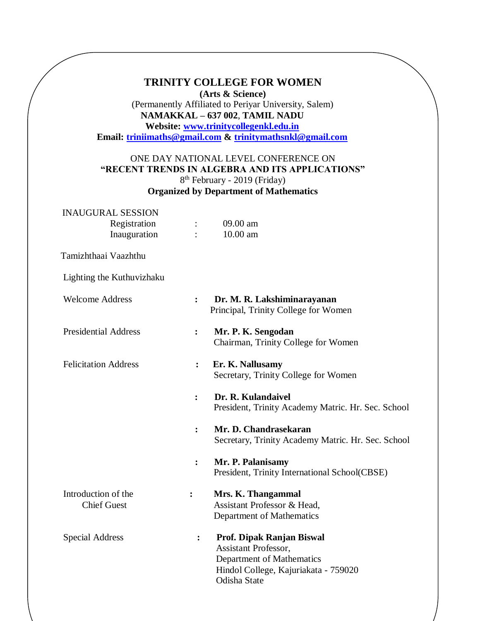# **TRINITY COLLEGE FOR WOMEN**

**(Arts & Science)** (Permanently Affiliated to Periyar University, Salem) **NAMAKKAL – 637 002**, **TAMIL NADU Website: [www.trinitycollegenkl.edu.in](http://www.trinitycollegenkl.edu.in/) Email: [triniimaths@gmail.com](mailto:triniimaths@gmail.com) & [trinitymathsnkl@gmail.com](mailto:trinitymathsnkl@gmail.com)**

### ONE DAY NATIONAL LEVEL CONFERENCE ON **"RECENT TRENDS IN ALGEBRA AND ITS APPLICATIONS"** 8<sup>th</sup> February - 2019 (Friday) **Organized by Department of Mathematics**

| <b>INAUGURAL SESSION</b><br>Registration<br>Inauguration |                | 09.00 am<br>10.00 am                                                                                                                          |
|----------------------------------------------------------|----------------|-----------------------------------------------------------------------------------------------------------------------------------------------|
| Tamizhthaai Vaazhthu                                     |                |                                                                                                                                               |
| Lighting the Kuthuvizhaku                                |                |                                                                                                                                               |
| <b>Welcome Address</b>                                   | $\ddot{\cdot}$ | Dr. M. R. Lakshiminarayanan<br>Principal, Trinity College for Women                                                                           |
| <b>Presidential Address</b>                              | :              | Mr. P. K. Sengodan<br>Chairman, Trinity College for Women                                                                                     |
| <b>Felicitation Address</b>                              | $\ddot{\cdot}$ | Er. K. Nallusamy<br>Secretary, Trinity College for Women                                                                                      |
|                                                          | $\ddot{\cdot}$ | Dr. R. Kulandaivel<br>President, Trinity Academy Matric. Hr. Sec. School                                                                      |
|                                                          | $\ddot{\cdot}$ | Mr. D. Chandrasekaran<br>Secretary, Trinity Academy Matric. Hr. Sec. School                                                                   |
|                                                          | $\ddot{\cdot}$ | Mr. P. Palanisamy<br>President, Trinity International School(CBSE)                                                                            |
| Introduction of the<br><b>Chief Guest</b>                | $\ddot{\cdot}$ | Mrs. K. Thangammal<br>Assistant Professor & Head,<br>Department of Mathematics                                                                |
| Special Address                                          | $\ddot{\cdot}$ | Prof. Dipak Ranjan Biswal<br>Assistant Professor,<br>Department of Mathematics<br>Hindol College, Kajuriakata - 759020<br><b>Odisha State</b> |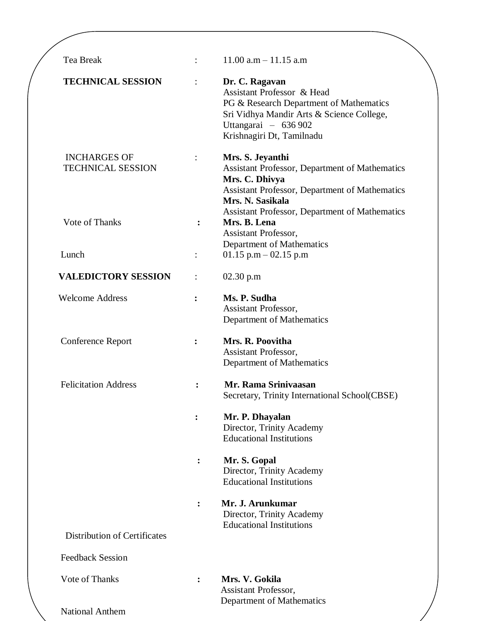| <b>Tea Break</b>                                |                | $11.00$ a.m $- 11.15$ a.m                                                                                                                                                                            |  |
|-------------------------------------------------|----------------|------------------------------------------------------------------------------------------------------------------------------------------------------------------------------------------------------|--|
| <b>TECHNICAL SESSION</b>                        |                | Dr. C. Ragavan<br><b>Assistant Professor &amp; Head</b><br>PG & Research Department of Mathematics<br>Sri Vidhya Mandir Arts & Science College,<br>Uttangarai - 636 902<br>Krishnagiri Dt, Tamilnadu |  |
| <b>INCHARGES OF</b><br><b>TECHNICAL SESSION</b> |                | Mrs. S. Jeyanthi<br>Assistant Professor, Department of Mathematics<br>Mrs. C. Dhivya<br>Assistant Professor, Department of Mathematics<br>Mrs. N. Sasikala                                           |  |
| Vote of Thanks                                  | $\ddot{\cdot}$ | Assistant Professor, Department of Mathematics<br>Mrs. B. Lena<br><b>Assistant Professor,</b>                                                                                                        |  |
| Lunch                                           |                | Department of Mathematics<br>01.15 p.m $-$ 02.15 p.m                                                                                                                                                 |  |
| <b>VALEDICTORY SESSION</b>                      |                | 02.30 p.m                                                                                                                                                                                            |  |
| <b>Welcome Address</b>                          | $\ddot{\cdot}$ | Ms. P. Sudha<br>Assistant Professor,<br>Department of Mathematics                                                                                                                                    |  |
| Conference Report                               | $\ddot{\cdot}$ | Mrs. R. Poovitha<br>Assistant Professor,<br>Department of Mathematics                                                                                                                                |  |
| <b>Felicitation Address</b>                     |                | Mr. Rama Srinivaasan<br>Secretary, Trinity International School(CBSE)                                                                                                                                |  |
|                                                 | $\ddot{\cdot}$ | Mr. P. Dhayalan<br>Director, Trinity Academy<br><b>Educational Institutions</b>                                                                                                                      |  |
|                                                 | $\ddot{\cdot}$ | Mr. S. Gopal<br>Director, Trinity Academy<br><b>Educational Institutions</b>                                                                                                                         |  |
|                                                 | $\ddot{\cdot}$ | Mr. J. Arunkumar<br>Director, Trinity Academy<br><b>Educational Institutions</b>                                                                                                                     |  |
| <b>Distribution of Certificates</b>             |                |                                                                                                                                                                                                      |  |
| <b>Feedback Session</b>                         |                |                                                                                                                                                                                                      |  |
| Vote of Thanks                                  | $\ddot{\cdot}$ | Mrs. V. Gokila<br>Assistant Professor,<br>Department of Mathematics                                                                                                                                  |  |
| <b>National Anthem</b>                          |                |                                                                                                                                                                                                      |  |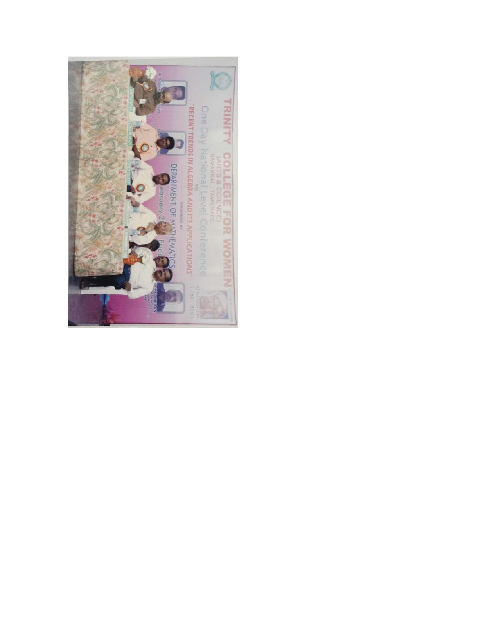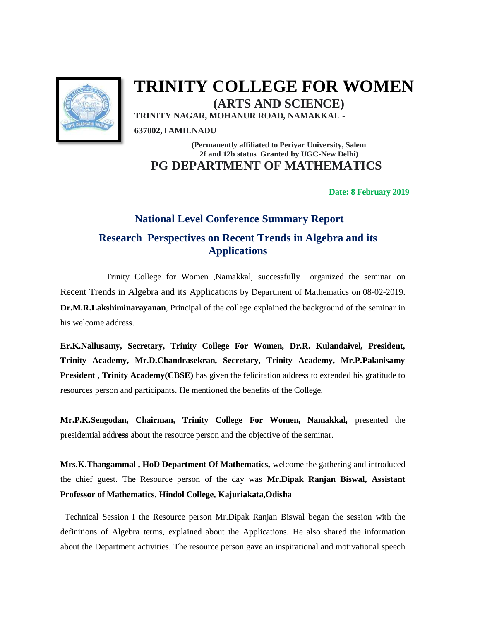

# **TRINITY COLLEGE FOR WOMEN (ARTS AND SCIENCE) TRINITY NAGAR, MOHANUR ROAD, NAMAKKAL -**

**637002,TAMILNADU**

## **(Permanently affiliated to Periyar University, Salem 2f and 12b status Granted by UGC-New Delhi) PG DEPARTMENT OF MATHEMATICS**

**Date: 8 February 2019**

# **National Level Conference Summary Report Research Perspectives on Recent Trends in Algebra and its Applications**

Trinity College for Women ,Namakkal, successfully organized the seminar on Recent Trends in Algebra and its Applications by Department of Mathematics on 08-02-2019. **Dr.M.R.Lakshiminarayanan**, Principal of the college explained the background of the seminar in his welcome address.

**Er.K.Nallusamy, Secretary, Trinity College For Women, Dr.R. Kulandaivel, President, Trinity Academy, Mr.D.Chandrasekran, Secretary, Trinity Academy, Mr.P.Palanisamy President , Trinity Academy(CBSE)** has given the felicitation address to extended his gratitude to resources person and participants. He mentioned the benefits of the College.

**Mr.P.K.Sengodan, Chairman, Trinity College For Women, Namakkal,** presented the presidential addr**ess** about the resource person and the objective of the seminar.

**Mrs.K.Thangammal , HoD Department Of Mathematics,** welcome the gathering and introduced the chief guest. The Resource person of the day was **Mr.Dipak Ranjan Biswal, Assistant Professor of Mathematics, Hindol College, Kajuriakata,Odisha**

Technical Session I the Resource person Mr.Dipak Ranjan Biswal began the session with the definitions of Algebra terms, explained about the Applications. He also shared the information about the Department activities. The resource person gave an inspirational and motivational speech